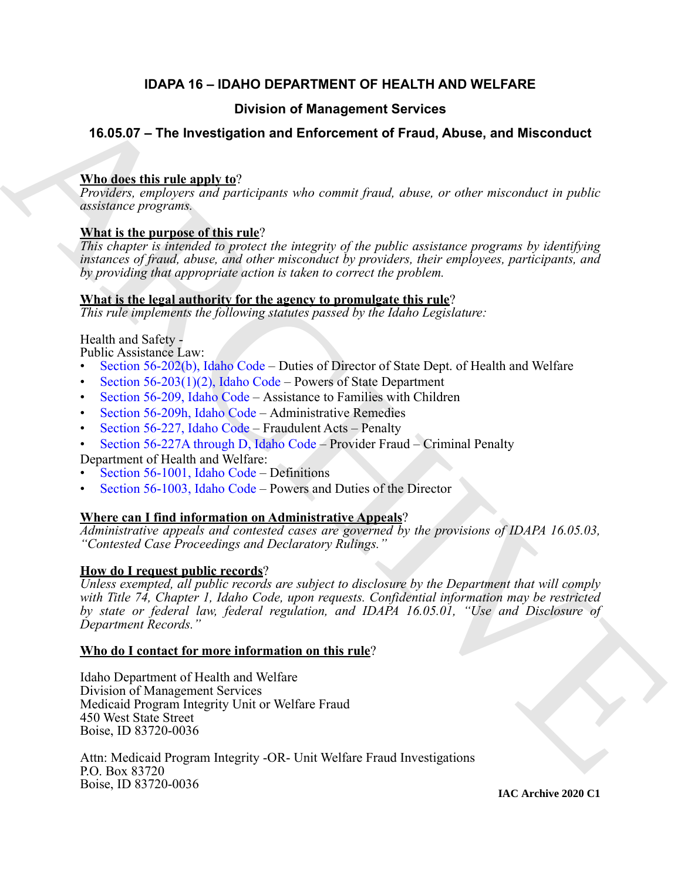# **IDAPA 16 – IDAHO DEPARTMENT OF HEALTH AND WELFARE**

# **Division of Management Services**

# **16.05.07 – The Investigation and Enforcement of Fraud, Abuse, and Misconduct**

# **Who does this rule apply to**?

*Providers, employers and participants who commit fraud, abuse, or other misconduct in public assistance programs.*

# **What is the purpose of this rule**?

*This chapter is intended to protect the integrity of the public assistance programs by identifying instances of fraud, abuse, and other misconduct by providers, their employees, participants, and by providing that appropriate action is taken to correct the problem.*

# **What is the legal authority for the agency to promulgate this rule**?

*This rule implements the following statutes passed by the Idaho Legislature:*

# Health and Safety -

Public Assistance Law:

- Section 56-202(b), Idaho Code Duties of Director of State Dept. of Health and Welfare
- Section  $56-203(1)(2)$ , Idaho Code Powers of State Department
- Section 56-209, Idaho Code Assistance to Families with Children
- Section 56-209h, Idaho Code Administrative Remedies
- Section 56-227, Idaho Code Fraudulent Acts Penalty
- Section 56-227A through D, Idaho Code Provider Fraud Criminal Penalty

Department of Health and Welfare:

- Section 56-1001, Idaho Code Definitions
- Section 56-1003, Idaho Code Powers and Duties of the Director

# **Where can I find information on Administrative Appeals**?

*Administrative appeals and contested cases are governed by the provisions of IDAPA 16.05.03, "Contested Case Proceedings and Declaratory Rulings."*

# **How do I request public records**?

**16.05.07 - The Investigation and Enforcement Services**<br> **16.05.07 - The Investigation and Enforcement of Fraud, Abuse, and Misconduct**<br> **Whenever the transform of the control fraud, where or other misconduct is public as** *Unless exempted, all public records are subject to disclosure by the Department that will comply with Title 74, Chapter 1, Idaho Code, upon requests. Confidential information may be restricted by state or federal law, federal regulation, and IDAPA 16.05.01, "Use and Disclosure of Department Records."*

# **Who do I contact for more information on this rule**?

Idaho Department of Health and Welfare Division of Management Services Medicaid Program Integrity Unit or Welfare Fraud 450 West State Street Boise, ID 83720-0036

Attn: Medicaid Program Integrity -OR- Unit Welfare Fraud Investigations P.O. Box 83720 Boise, ID 83720-0036

**IAC Archive 2020 C1**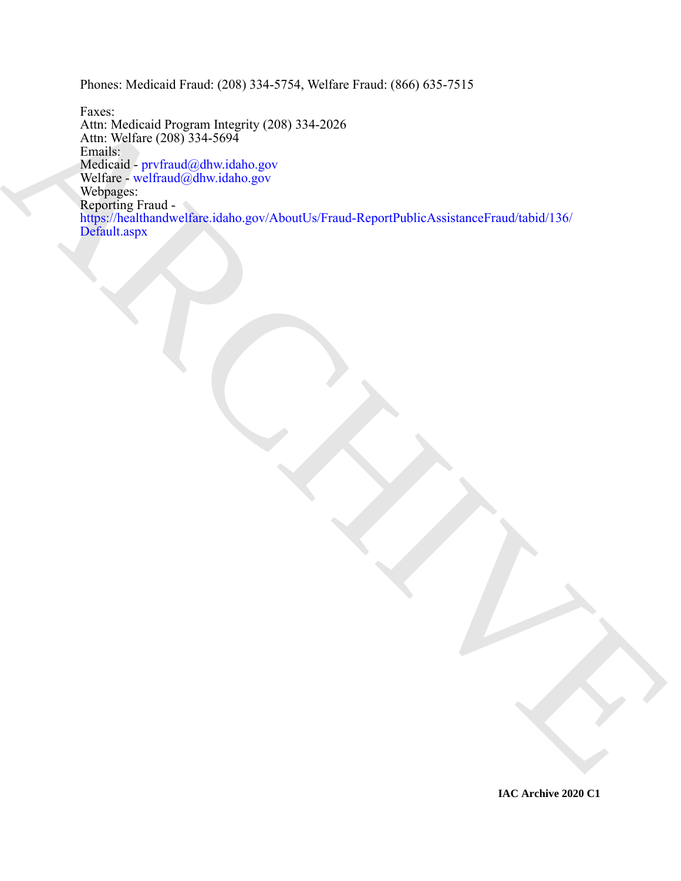Phones: Medicaid Fraud: (208) 334-5754, Welfare Fraud: (866) 635-7515

Faxis<br>Artis Medical Corporation Integrity (2006) 334-2026<br>[AR](https://healthandwelfare.idaho.gov/AboutUs/Fraud-ReportPublicAssistanceFraud/tabid/136/Default.aspx)CHIVE (2005) 334-509<br>Machinese Terminal Schwarzler<br>Wedness with manifestation space<br>Wedness with manifestation space<br>Wedness with the state of the state of the st Faxes: Attn: Medicaid Program Integrity (208) 334-2026 Attn: Welfare (208) 334-5694 Emails: Medicaid - prvfraud@dhw.idaho.gov Welfare - welfraud@dhw.idaho.gov Webpages: Reporting Fraud https://healthandwelfare.idaho.gov/AboutUs/Fraud-ReportPublicAssistanceFraud/tabid/136/ Default.aspx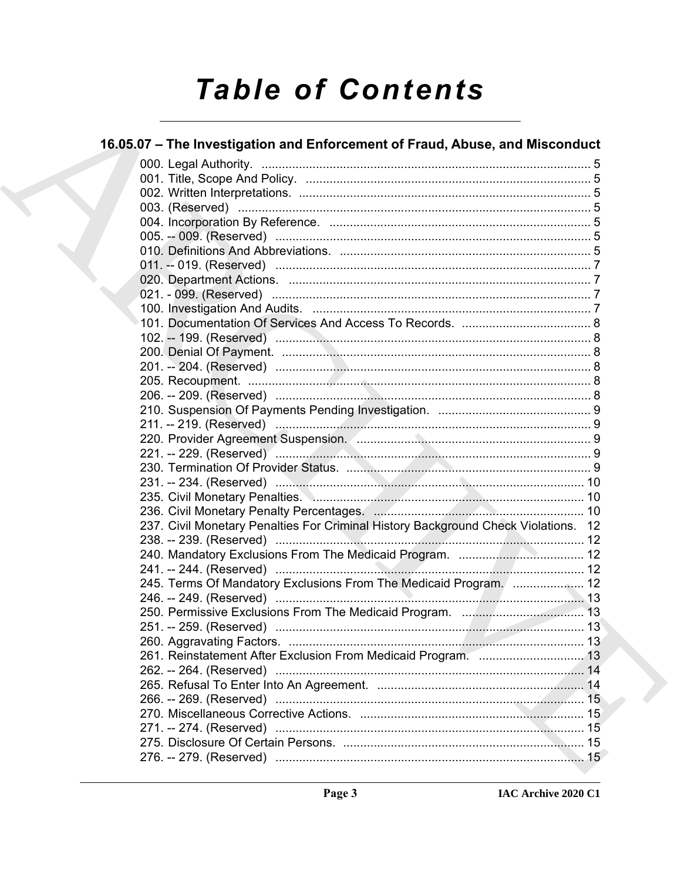# **Table of Contents**

| 16.05.07 - The Investigation and Enforcement of Fraud, Abuse, and Misconduct       |  |
|------------------------------------------------------------------------------------|--|
|                                                                                    |  |
|                                                                                    |  |
|                                                                                    |  |
|                                                                                    |  |
|                                                                                    |  |
|                                                                                    |  |
|                                                                                    |  |
|                                                                                    |  |
|                                                                                    |  |
|                                                                                    |  |
|                                                                                    |  |
|                                                                                    |  |
|                                                                                    |  |
|                                                                                    |  |
|                                                                                    |  |
|                                                                                    |  |
|                                                                                    |  |
|                                                                                    |  |
|                                                                                    |  |
|                                                                                    |  |
|                                                                                    |  |
|                                                                                    |  |
|                                                                                    |  |
|                                                                                    |  |
|                                                                                    |  |
| 237. Civil Monetary Penalties For Criminal History Background Check Violations. 12 |  |
|                                                                                    |  |
|                                                                                    |  |
|                                                                                    |  |
| 245. Terms Of Mandatory Exclusions From The Medicaid Program.  12                  |  |
|                                                                                    |  |
|                                                                                    |  |
|                                                                                    |  |
|                                                                                    |  |
|                                                                                    |  |
|                                                                                    |  |
|                                                                                    |  |
|                                                                                    |  |
|                                                                                    |  |
|                                                                                    |  |
|                                                                                    |  |
|                                                                                    |  |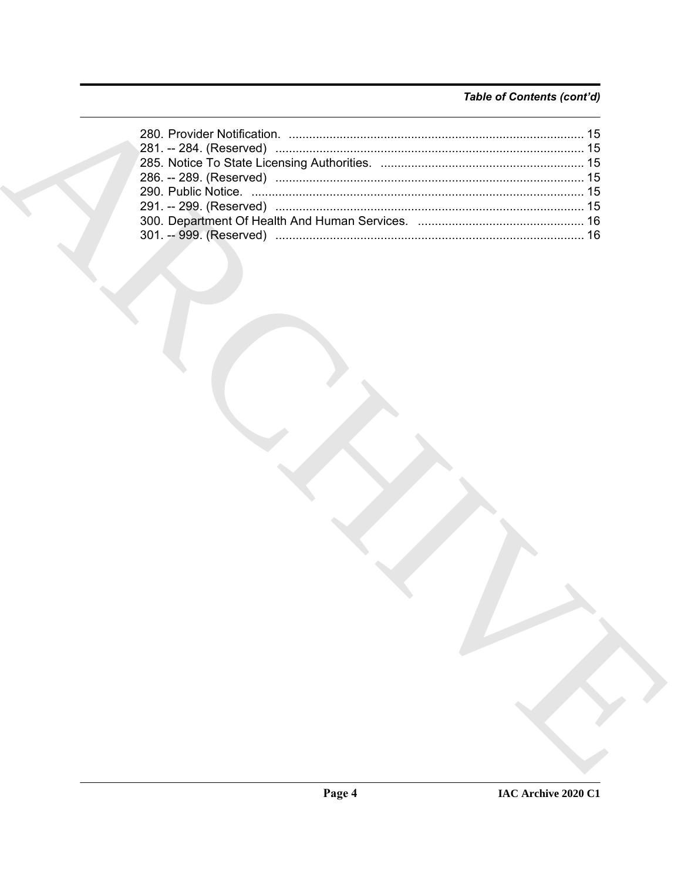# Table of Contents (cont'd)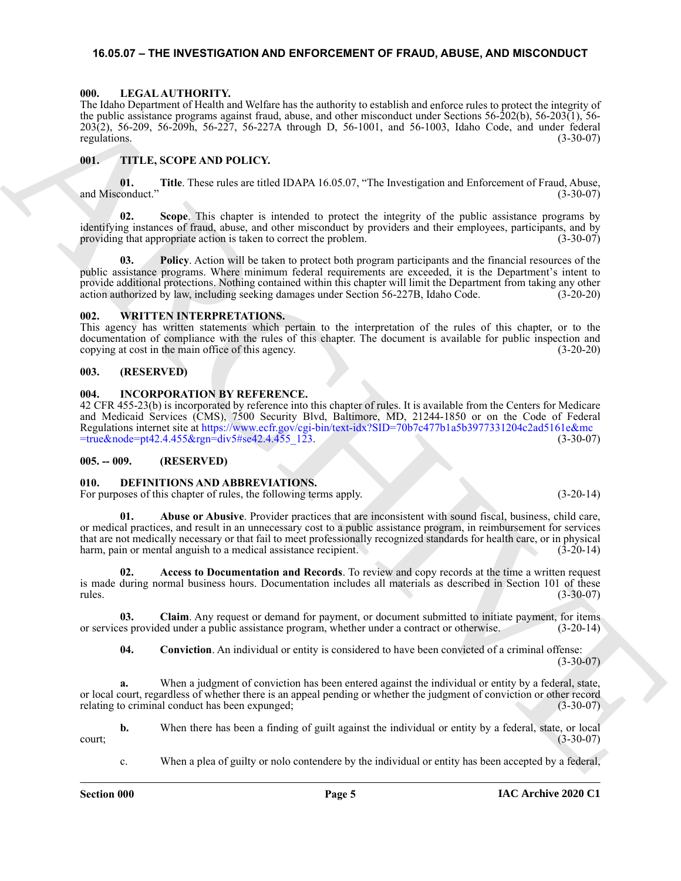#### <span id="page-4-14"></span><span id="page-4-0"></span>**16.05.07 – THE INVESTIGATION AND ENFORCEMENT OF FRAUD, ABUSE, AND MISCONDUCT**

#### <span id="page-4-1"></span>**000. LEGAL AUTHORITY.**

The Idaho Department of Health and Welfare has the authority to establish and enforce rules to protect the integrity of the public assistance programs against fraud, abuse, and other misconduct under Sections 56-202(b), 56-203(1), 56- 203(2), 56-209, 56-209h, 56-227, 56-227A through D, 56-1001, and 56-1003, Idaho Code, and under federal regulations.  $(3-30-07)$ 

#### <span id="page-4-15"></span><span id="page-4-2"></span>**001. TITLE, SCOPE AND POLICY.**

**01. Title**. These rules are titled IDAPA 16.05.07, "The Investigation and Enforcement of Fraud, Abuse, and Misconduct."

**02. Scope**. This chapter is intended to protect the integrity of the public assistance programs by identifying instances of fraud, abuse, and other misconduct by providers and their employees, participants, and by providing that appropriate action is taken to correct the problem. providing that appropriate action is taken to correct the problem.

The Machine Chiracter is the two states in the state of the state of the state of the state of the state of the state of the state of the state of the state of the state of the state of the state of the state of the state **03. Policy**. Action will be taken to protect both program participants and the financial resources of the public assistance programs. Where minimum federal requirements are exceeded, it is the Department's intent to provide additional protections. Nothing contained within this chapter will limit the Department from taking any other action authorized by law, including seeking damages under Section 56-227B, Idaho Code. (3-20-20)

#### <span id="page-4-16"></span><span id="page-4-3"></span>**002. WRITTEN INTERPRETATIONS.**

This agency has written statements which pertain to the interpretation of the rules of this chapter, or to the documentation of compliance with the rules of this chapter. The document is available for public inspection and copying at cost in the main office of this agency. (3-20-20)

#### <span id="page-4-4"></span>**003. (RESERVED)**

#### <span id="page-4-13"></span><span id="page-4-5"></span>**004. INCORPORATION BY REFERENCE.**

42 CFR 455-23(b) is incorporated by reference into this chapter of rules. It is available from the Centers for Medicare and Medicaid Services (CMS), 7500 Security Blvd, Baltimore, MD, 21244-1850 or on the Code of Federal Regulations internet site at https://www.ecfr.gov/cgi-bin/text-idx?SID=70b7c477b1a5b3977331204c2ad5161e&mc =true&node=pt42.4.455&rgn=div5#se42.4.455\_123. (3-30-07)

#### <span id="page-4-6"></span>**005. -- 009. (RESERVED)**

### <span id="page-4-8"></span><span id="page-4-7"></span>**010. DEFINITIONS AND ABBREVIATIONS.**

For purposes of this chapter of rules, the following terms apply. (3-20-14)

<span id="page-4-9"></span>**01. Abuse or Abusive**. Provider practices that are inconsistent with sound fiscal, business, child care, or medical practices, and result in an unnecessary cost to a public assistance program, in reimbursement for services that are not medically necessary or that fail to meet professionally recognized standards for health care, or in physical harm, pain or mental anguish to a medical assistance recipient. (3-20-14)

<span id="page-4-10"></span>**02. Access to Documentation and Records**. To review and copy records at the time a written request is made during normal business hours. Documentation includes all materials as described in Section 101 of these  $r_{\text{rules}}$ . (3-30-07)

**03. Claim**. Any request or demand for payment, or document submitted to initiate payment, for items or services provided under a public assistance program, whether under a contract or otherwise. (3-20-14)

<span id="page-4-12"></span><span id="page-4-11"></span>**04. Conviction**. An individual or entity is considered to have been convicted of a criminal offense:  $(3-30-07)$ 

**a.** When a judgment of conviction has been entered against the individual or entity by a federal, state, or local court, regardless of whether there is an appeal pending or whether the judgment of conviction or other record relating to criminal conduct has been expunged;

**b.** When there has been a finding of guilt against the individual or entity by a federal, state, or local  $\frac{1}{3}$  (3-30-07)

c. When a plea of guilty or nolo contendere by the individual or entity has been accepted by a federal,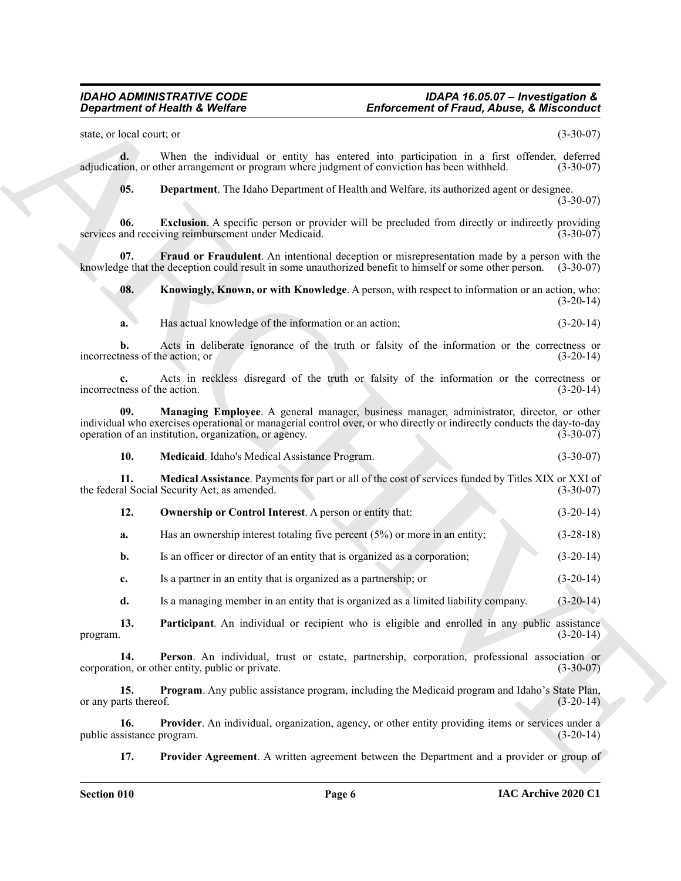#### *IDAHO ADMINISTRATIVE CODE IDAPA 16.05.07 – Investigation & Department of Health & Welfare Enforcement of Fraud, Abuse, & Misconduct*

state, or local court; or (3-30-07)

**d.** When the individual or entity has entered into participation in a first offender, deferred tion, or other arrangement or program where judgment of conviction has been withheld. (3-30-07) adjudication, or other arrangement or program where judgment of conviction has been withheld.

<span id="page-5-1"></span><span id="page-5-0"></span>**05. Department**. The Idaho Department of Health and Welfare, its authorized agent or designee. (3-30-07)

**06. Exclusion**. A specific person or provider will be precluded from directly or indirectly providing and receiving reimbursement under Medicaid. (3-30-07) services and receiving reimbursement under Medicaid.

**07.** Fraud or Fraudulent. An intentional deception or misrepresentation made by a person with the ge that the deception could result in some unauthorized benefit to himself or some other person. (3-30-07) knowledge that the deception could result in some unauthorized benefit to himself or some other person.

<span id="page-5-3"></span><span id="page-5-2"></span>**08.** Knowingly, Known, or with Knowledge. A person, with respect to information or an action, who:  $(3-20-14)$ 

**a.** Has actual knowledge of the information or an action; (3-20-14)

**b.** Acts in deliberate ignorance of the truth or falsity of the information or the correctness or incorrectness of the action; or (3-20-14)

**c.** Acts in reckless disregard of the truth or falsity of the information or the correctness or incorrectness of the action. (3-20-14)

**Enforcement of Friedrich Christian Control of Friedrich Christian School School School School School School School School School School School School School School School School School School School School School School 09. Managing Employee**. A general manager, business manager, administrator, director, or other individual who exercises operational or managerial control over, or who directly or indirectly conducts the day-to-day operation of an institution, organization, or agency. (3-30-07) operation of an institution, organization, or agency.

<span id="page-5-6"></span><span id="page-5-5"></span><span id="page-5-4"></span>**10. Medicaid**. Idaho's Medical Assistance Program. (3-30-07)

**11. Medical Assistance**. Payments for part or all of the cost of services funded by Titles XIX or XXI of the federal Social Security Act, as amended. (3-30-07)

<span id="page-5-7"></span>**12. Ownership or Control Interest**. A person or entity that: (3-20-14)

**a.** Has an ownership interest totaling five percent (5%) or more in an entity;  $(3-28-18)$ 

**b.** Is an officer or director of an entity that is organized as a corporation; (3-20-14)

**c.** Is a partner in an entity that is organized as a partnership; or (3-20-14)

<span id="page-5-9"></span><span id="page-5-8"></span>**d.** Is a managing member in an entity that is organized as a limited liability company. (3-20-14)

**13. Participant**. An individual or recipient who is eligible and enrolled in any public assistance (3-20-14) (3-20-14) program.  $(3-20-14)$ 

**14. Person**. An individual, trust or estate, partnership, corporation, professional association or on, or other entity, public or private. (3-30-07) corporation, or other entity, public or private.

<span id="page-5-10"></span>**15. Program**. Any public assistance program, including the Medicaid program and Idaho's State Plan, or any parts thereof.  $(3-20-14)$ 

**16. Provider**. An individual, organization, agency, or other entity providing items or services under a sistance program. (3-20-14) public assistance program.

<span id="page-5-12"></span><span id="page-5-11"></span>**17.** Provider Agreement. A written agreement between the Department and a provider or group of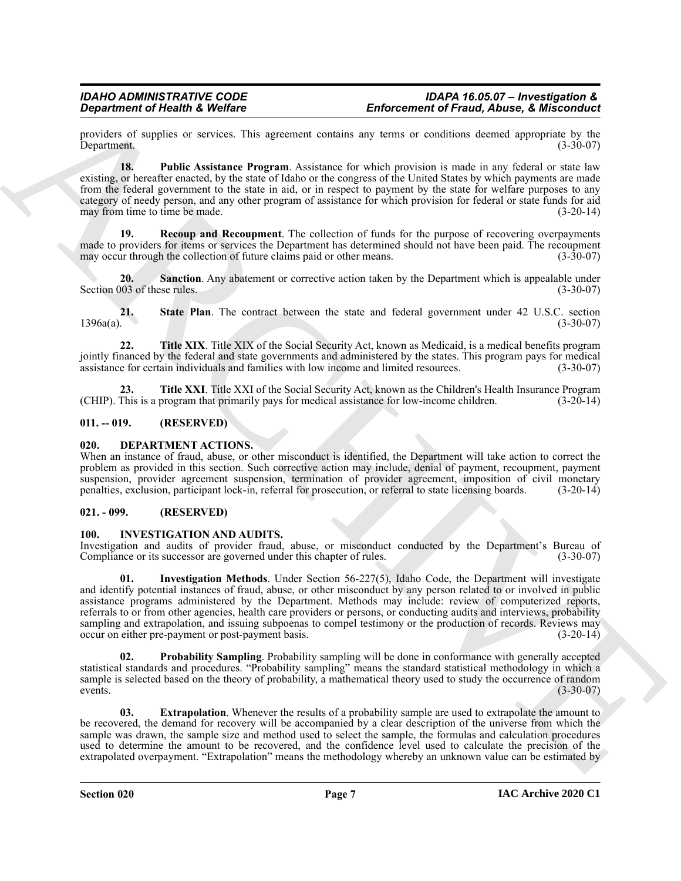#### *IDAHO ADMINISTRATIVE CODE IDAPA 16.05.07 – Investigation & Enforcement of Fraud, Abuse, & Misconduct*

providers of supplies or services. This agreement contains any terms or conditions deemed appropriate by the Department. (3-30-07)

<span id="page-6-4"></span>**18. Public Assistance Program**. Assistance for which provision is made in any federal or state law existing, or hereafter enacted, by the state of Idaho or the congress of the United States by which payments are made from the federal government to the state in aid, or in respect to payment by the state for welfare purposes to any category of needy person, and any other program of assistance for which provision for federal or state funds for aid may from time to time be made. (3-20-14)

<span id="page-6-5"></span>**19. Recoup and Recoupment**. The collection of funds for the purpose of recovering overpayments made to providers for items or services the Department has determined should not have been paid. The recoupment may occur through the collection of future claims paid or other means. (3-30-07)

<span id="page-6-6"></span>**20.** Sanction. Any abatement or corrective action taken by the Department which is appealable under Section 003 of these rules. (3-30-07)

<span id="page-6-7"></span>21. State Plan. The contract between the state and federal government under 42 U.S.C. section 1396a(a). (3-30-07)  $1396a(a)$ . (3-30-07)

<span id="page-6-8"></span>**22. Title XIX**. Title XIX of the Social Security Act, known as Medicaid, is a medical benefits program jointly financed by the federal and state governments and administered by the states. This program pays for medical assistance for certain individuals and families with low income and limited resources. (3-30-07) assistance for certain individuals and families with low income and limited resources.

<span id="page-6-9"></span>**23. Title XXI**. Title XXI of the Social Security Act, known as the Children's Health Insurance Program (CHIP). This is a program that primarily pays for medical assistance for low-income children. (3-20-14)

#### <span id="page-6-0"></span>**011. -- 019. (RESERVED)**

#### <span id="page-6-10"></span><span id="page-6-1"></span>**020. DEPARTMENT ACTIONS.**

When an instance of fraud, abuse, or other misconduct is identified, the Department will take action to correct the problem as provided in this section. Such corrective action may include, denial of payment, recoupment, payment suspension, provider agreement suspension, termination of provider agreement, imposition of civil monetary penalties, exclusion, participant lock-in, referral for prosecution, or referral to state licensing boards. (3-20-14)

#### <span id="page-6-2"></span>**021. - 099. (RESERVED)**

#### <span id="page-6-11"></span><span id="page-6-3"></span>**100. INVESTIGATION AND AUDITS.**

<span id="page-6-13"></span>Investigation and audits of provider fraud, abuse, or misconduct conducted by the Department's Bureau of Compliance or its successor are governed under this chapter of rules. (3-30-07)

**Enforcement of Friedrich Schedules. Enforcement of Franchi Constant of Franchi Constant Schedules and the system of the system of the system of the system of the system of the system of the system of the system of the 01. Investigation Methods**. Under Section 56-227(5), Idaho Code, the Department will investigate and identify potential instances of fraud, abuse, or other misconduct by any person related to or involved in public assistance programs administered by the Department. Methods may include: review of computerized reports, referrals to or from other agencies, health care providers or persons, or conducting audits and interviews, probability sampling and extrapolation, and issuing subpoenas to compel testimony or the production of records. Reviews may<br>occur on either pre-payment or post-payment basis. (3-20-14) occur on either pre-payment or post-payment basis.

<span id="page-6-14"></span>**Probability Sampling**. Probability sampling will be done in conformance with generally accepted statistical standards and procedures. "Probability sampling" means the standard statistical methodology in which a sample is selected based on the theory of probability, a mathematical theory used to study the occurrence of random events.  $(3-30-07)$ 

<span id="page-6-12"></span>**03. Extrapolation**. Whenever the results of a probability sample are used to extrapolate the amount to be recovered, the demand for recovery will be accompanied by a clear description of the universe from which the sample was drawn, the sample size and method used to select the sample, the formulas and calculation procedures used to determine the amount to be recovered, and the confidence level used to calculate the precision of the extrapolated overpayment. "Extrapolation" means the methodology whereby an unknown value can be estimated by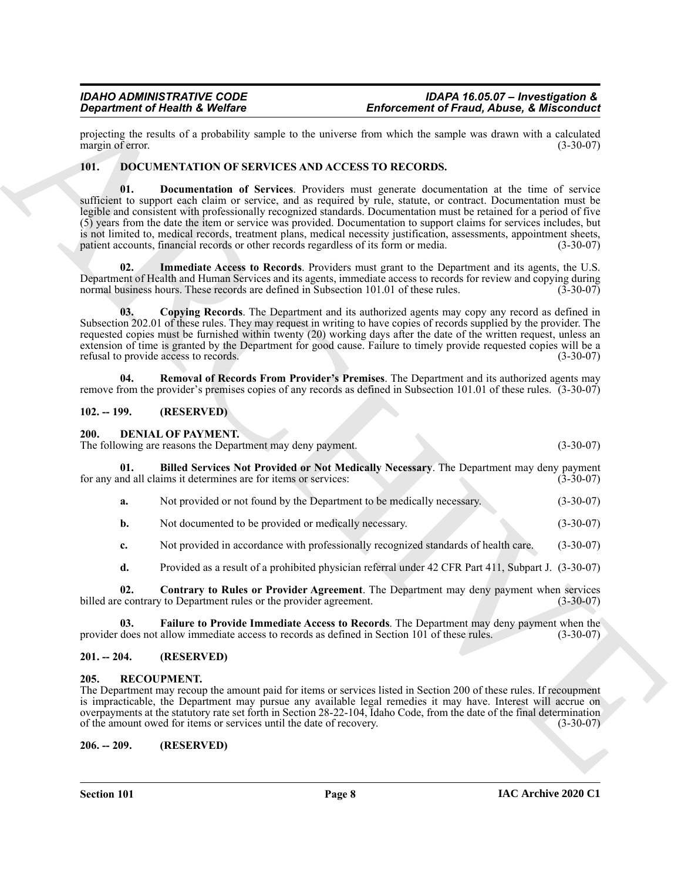projecting the results of a probability sample to the universe from which the sample was drawn with a calculated margin of error. margin of error.

#### <span id="page-7-12"></span><span id="page-7-10"></span><span id="page-7-0"></span>**101. DOCUMENTATION OF SERVICES AND ACCESS TO RECORDS.**

**Enforcement of Friedrich Webfare<br>** *Paperincial* **Archives and the matter interaction of Friedrich School (1) and the same of the same of the same of the same of the same of the same of the same of the same of the same of 01. Documentation of Services**. Providers must generate documentation at the time of service sufficient to support each claim or service, and as required by rule, statute, or contract. Documentation must be legible and consistent with professionally recognized standards. Documentation must be retained for a period of five (5) years from the date the item or service was provided. Documentation to support claims for services includes, but is not limited to, medical records, treatment plans, medical necessity justification, assessments, appointment sheets, patient accounts, financial records or other records regardless of its form or media. (3-30-07) patient accounts, financial records or other records regardless of its form or media.

<span id="page-7-13"></span>**02. Immediate Access to Records**. Providers must grant to the Department and its agents, the U.S. Department of Health and Human Services and its agents, immediate access to records for review and copying during normal business hours. These records are defined in Subsection 101.01 of these rules. (3-30-07)

<span id="page-7-11"></span>**03. Copying Records**. The Department and its authorized agents may copy any record as defined in Subsection 202.01 of these rules. They may request in writing to have copies of records supplied by the provider. The requested copies must be furnished within twenty (20) working days after the date of the written request, unless an extension of time is granted by the Department for good cause. Failure to timely provide requested copies will be a refusal to provide access to records. (3-30-07)

<span id="page-7-14"></span>**04. Removal of Records From Provider's Premises**. The Department and its authorized agents may remove from the provider's premises copies of any records as defined in Subsection 101.01 of these rules. (3-30-07)

### <span id="page-7-1"></span>**102. -- 199. (RESERVED)**

#### <span id="page-7-6"></span><span id="page-7-2"></span>**200. DENIAL OF PAYMENT.**

The following are reasons the Department may deny payment. (3-30-07)

**01. Billed Services Not Provided or Not Medically Necessary**. The Department may deny payment for any and all claims it determines are for items or services:

- <span id="page-7-7"></span>**a.** Not provided or not found by the Department to be medically necessary. (3-30-07)
- **b.** Not documented to be provided or medically necessary. (3-30-07)
- **c.** Not provided in accordance with professionally recognized standards of health care. (3-30-07)
- <span id="page-7-9"></span><span id="page-7-8"></span>**d.** Provided as a result of a prohibited physician referral under 42 CFR Part 411, Subpart J. (3-30-07)

**02. Contrary to Rules or Provider Agreement**. The Department may deny payment when services billed are contrary to Department rules or the provider agreement. (3-30-07)

**03.** Failure to Provide Immediate Access to Records. The Department may deny payment when the does not allow immediate access to records as defined in Section 101 of these rules. (3-30-07) provider does not allow immediate access to records as defined in Section 101 of these rules.

#### <span id="page-7-3"></span>**201. -- 204. (RESERVED)**

#### <span id="page-7-15"></span><span id="page-7-4"></span>**205. RECOUPMENT.**

The Department may recoup the amount paid for items or services listed in Section 200 of these rules. If recoupment is impracticable, the Department may pursue any available legal remedies it may have. Interest will accrue on overpayments at the statutory rate set forth in Section 28-22-104, Idaho Code, from the date of the final determination of the amount owed for items or services until the date of recovery. (3-30-07)

<span id="page-7-5"></span>**206. -- 209. (RESERVED)**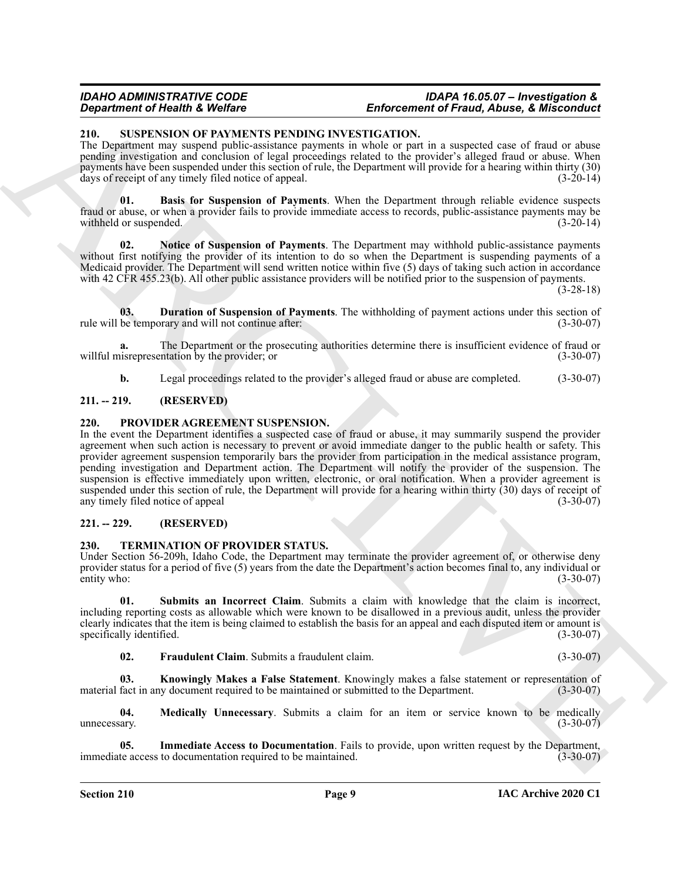#### *IDAHO ADMINISTRATIVE CODE IDAPA 16.05.07 – Investigation & Enforcement of Fraud, Abuse, & Misconduct*

#### <span id="page-8-6"></span><span id="page-8-0"></span>**210. SUSPENSION OF PAYMENTS PENDING INVESTIGATION.**

The Department may suspend public-assistance payments in whole or part in a suspected case of fraud or abuse pending investigation and conclusion of legal proceedings related to the provider's alleged fraud or abuse. When payments have been suspended under this section of rule, the Department will provide for a hearing within thirty (30) days of receipt of any timely filed notice of appeal. (3-20-14)

<span id="page-8-7"></span>**01. Basis for Suspension of Payments**. When the Department through reliable evidence suspects fraud or abuse, or when a provider fails to provide immediate access to records, public-assistance payments may be withheld or suspended. (3-20-14)

<span id="page-8-9"></span>**02. Notice of Suspension of Payments**. The Department may withhold public-assistance payments without first notifying the provider of its intention to do so when the Department is suspending payments of a Medicaid provider. The Department will send written notice within five (5) days of taking such action in accordance with 42 CFR 455.23(b). All other public assistance providers will be notified prior to the suspension of payments.

(3-28-18)

<span id="page-8-8"></span>**03. Duration of Suspension of Payments**. The withholding of payment actions under this section of rule will be temporary and will not continue after: (3-30-07)

**a.** The Department or the prosecuting authorities determine there is insufficient evidence of fraud or willful misrepresentation by the provider; or (3-30-07)

<span id="page-8-5"></span>**b.** Legal proceedings related to the provider's alleged fraud or abuse are completed.  $(3-30-07)$ 

#### <span id="page-8-1"></span>**211. -- 219. (RESERVED)**

#### <span id="page-8-2"></span>**220. PROVIDER AGREEMENT SUSPENSION.**

**Constraint of Henrich Constraint Constraint (Entroposition of Franch Constraint Constraint Constraint Constraint Constraint Constraint Constraint Constraint Constraint Constraint Constraint Constraint Constraint Constrai** In the event the Department identifies a suspected case of fraud or abuse, it may summarily suspend the provider agreement when such action is necessary to prevent or avoid immediate danger to the public health or safety. This provider agreement suspension temporarily bars the provider from participation in the medical assistance program, pending investigation and Department action. The Department will notify the provider of the suspension. The suspension is effective immediately upon written, electronic, or oral notification. When a provider agreement is suspended under this section of rule, the Department will provide for a hearing within thirty (30) days of receipt of any timely filed notice of appeal (3-30-07)  $(3-30-07)$ 

### <span id="page-8-3"></span>**221. -- 229. (RESERVED)**

#### <span id="page-8-10"></span><span id="page-8-4"></span>**230. TERMINATION OF PROVIDER STATUS.**

Under Section 56-209h, Idaho Code, the Department may terminate the provider agreement of, or otherwise deny provider status for a period of five (5) years from the date the Department's action becomes final to, any individual or entity who:  $(3-30-07)$ 

<span id="page-8-15"></span>**01. Submits an Incorrect Claim**. Submits a claim with knowledge that the claim is incorrect, including reporting costs as allowable which were known to be disallowed in a previous audit, unless the provider clearly indicates that the item is being claimed to establish the basis for an appeal and each disputed item or amount is specifically identified.

<span id="page-8-14"></span><span id="page-8-13"></span><span id="page-8-11"></span>**02. Fraudulent Claim**. Submits a fraudulent claim. (3-30-07)

**03. Knowingly Makes a False Statement**. Knowingly makes a false statement or representation of material fact in any document required to be maintained or submitted to the Department. (3-30-07)

**04. Medically Unnecessary**. Submits a claim for an item or service known to be medically unnecessary.  $(3-30-07)$ 

<span id="page-8-12"></span>**Immediate Access to Documentation**. Fails to provide, upon written request by the Department, immediate access to documentation required to be maintained. (3-30-07)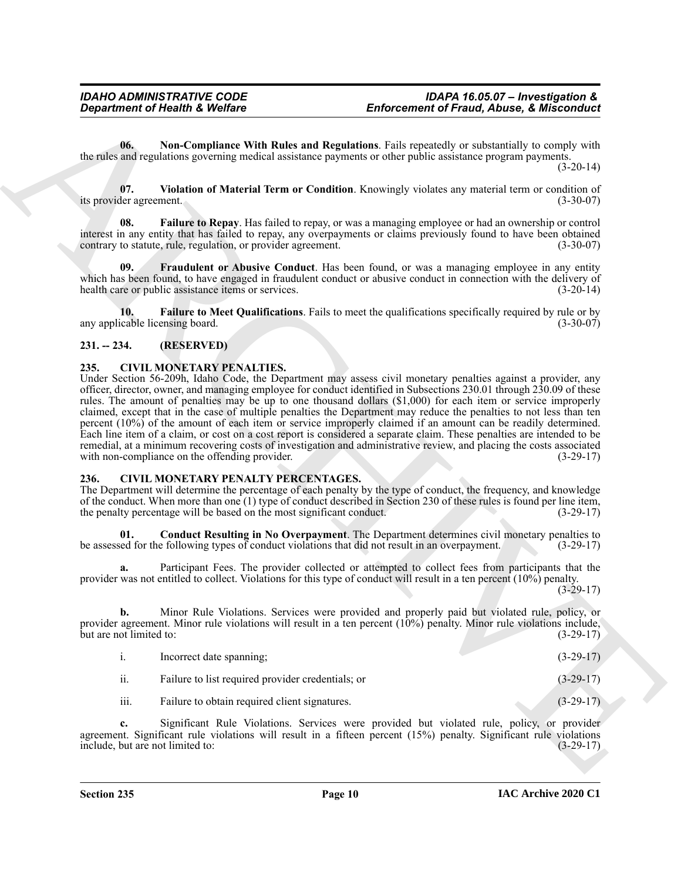<span id="page-9-9"></span>**06. Non-Compliance With Rules and Regulations**. Fails repeatedly or substantially to comply with the rules and regulations governing medical assistance payments or other public assistance program payments.

(3-20-14)

<span id="page-9-10"></span>**07. Violation of Material Term or Condition**. Knowingly violates any material term or condition of its provider agreement.

<span id="page-9-7"></span>**08. Failure to Repay**. Has failed to repay, or was a managing employee or had an ownership or control interest in any entity that has failed to repay, any overpayments or claims previously found to have been obtained contrary to statute, rule, regulation, or provider agreement. (3-30-07)

<span id="page-9-8"></span>**09. Fraudulent or Abusive Conduct**. Has been found, or was a managing employee in any entity which has been found, to have engaged in fraudulent conduct or abusive conduct in connection with the delivery of health care or public assistance items or services. (3-20-14)

<span id="page-9-6"></span>**10. Failure to Meet Qualifications**. Fails to meet the qualifications specifically required by rule or by cable licensing board. (3-30-07) any applicable licensing board.

## <span id="page-9-0"></span>**231. -- 234. (RESERVED)**

### <span id="page-9-3"></span><span id="page-9-1"></span>**235. CIVIL MONETARY PENALTIES.**

**Enforcement of Friedrich Religions 16 (Voltar Case Contact Contact Contact Contact Contact Contact Contact Contact Contact Contact Contact Contact Contact Contact Contact Contact Contact Contact Contact Contact Contact C** Under Section 56-209h, Idaho Code, the Department may assess civil monetary penalties against a provider, any officer, director, owner, and managing employee for conduct identified in Subsections 230.01 through 230.09 of these rules. The amount of penalties may be up to one thousand dollars (\$1,000) for each item or service improperly claimed, except that in the case of multiple penalties the Department may reduce the penalties to not less than ten percent (10%) of the amount of each item or service improperly claimed if an amount can be readily determined. Each line item of a claim, or cost on a cost report is considered a separate claim. These penalties are intended to be remedial, at a minimum recovering costs of investigation and administrative review, and placing the costs associated with non-compliance on the offending provider. (3-29-17)

### <span id="page-9-4"></span><span id="page-9-2"></span>**236. CIVIL MONETARY PENALTY PERCENTAGES.**

The Department will determine the percentage of each penalty by the type of conduct, the frequency, and knowledge of the conduct. When more than one (1) type of conduct described in Section 230 of these rules is found per line item, the penalty percentage will be based on the most significant conduct.  $(3-29-17)$ the penalty percentage will be based on the most significant conduct.

<span id="page-9-5"></span>**01. Conduct Resulting in No Overpayment**. The Department determines civil monetary penalties to be assessed for the following types of conduct violations that did not result in an overpayment. (3-29-17)

**a.** Participant Fees. The provider collected or attempted to collect fees from participants that the provider was not entitled to collect. Violations for this type of conduct will result in a ten percent (10%) penalty.

 $(3-29-17)$ 

**b.** Minor Rule Violations. Services were provided and properly paid but violated rule, policy, or provider agreement. Minor rule violations will result in a ten percent (10%) penalty. Minor rule violations include,<br>but are not limited to: (3-29-17) but are not limited to:

| $\mathbf{1}$ | Incorrect date spanning;                          | $(3-29-17)$ |
|--------------|---------------------------------------------------|-------------|
| ii.          | Failure to list required provider credentials; or | $(3-29-17)$ |
| iii.         | Failure to obtain required client signatures.     | $(3-29-17)$ |

**c.** Significant Rule Violations. Services were provided but violated rule, policy, or provider agreement. Significant rule violations will result in a fifteen percent (15%) penalty. Significant rule violations include, but are not limited to: (3-29-17) include, but are not limited to: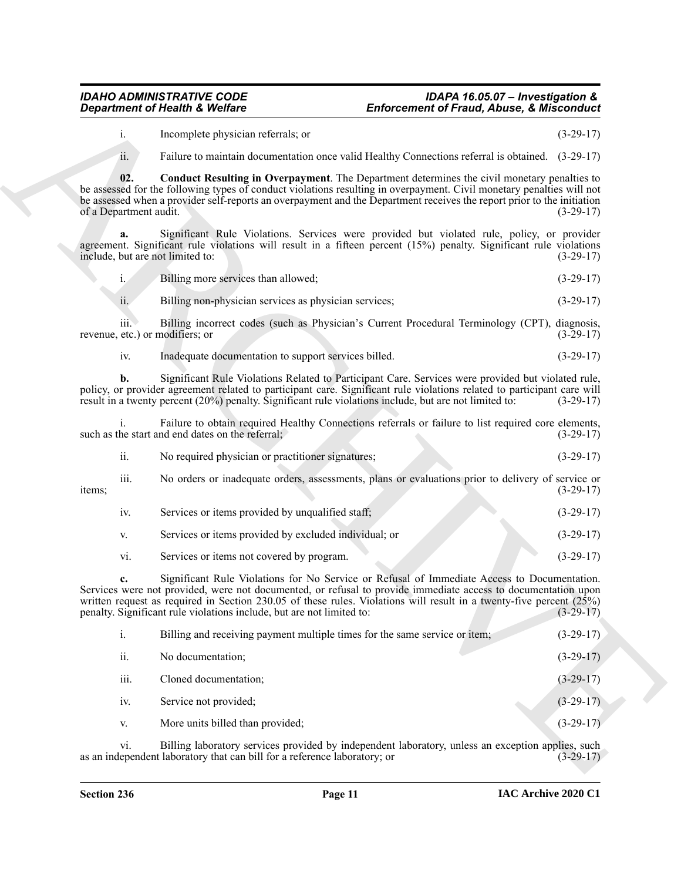#### <span id="page-10-0"></span>*IDAHO ADMINISTRATIVE CODE IDAPA 16.05.07 – Investigation & Enforcement of Fraud, Abuse, & Misconduct*

|        | ii.              | No required physician or practitioner signatures;                                                 | $(3-29-17)$ |
|--------|------------------|---------------------------------------------------------------------------------------------------|-------------|
| items; | $\cdots$<br>111. | No orders or inadequate orders, assessments, plans or evaluations prior to delivery of service or | $(3-29-17)$ |
|        | 1V.              | Services or items provided by unqualified staff;                                                  | $(3-29-17)$ |
|        | V.               | Services or items provided by excluded individual; or                                             | $(3-29-17)$ |

|                                         | <b>Department of Health &amp; Welfare</b>                                                              | <b>Enforcement of Fraud, Abuse, &amp; Misconduct</b>                                                                                                                                                                                                                                                                                           |             |
|-----------------------------------------|--------------------------------------------------------------------------------------------------------|------------------------------------------------------------------------------------------------------------------------------------------------------------------------------------------------------------------------------------------------------------------------------------------------------------------------------------------------|-------------|
| i.                                      | Incomplete physician referrals; or                                                                     |                                                                                                                                                                                                                                                                                                                                                | $(3-29-17)$ |
| ii.                                     |                                                                                                        | Failure to maintain documentation once valid Healthy Connections referral is obtained. (3-29-17)                                                                                                                                                                                                                                               |             |
| 02.<br>of a Department audit.           |                                                                                                        | Conduct Resulting in Overpayment. The Department determines the civil monetary penalties to<br>be assessed for the following types of conduct violations resulting in overpayment. Civil monetary penalties will not<br>be assessed when a provider self-reports an overpayment and the Department receives the report prior to the initiation | $(3-29-17)$ |
| a.<br>include, but are not limited to:  |                                                                                                        | Significant Rule Violations. Services were provided but violated rule, policy, or provider<br>agreement. Significant rule violations will result in a fifteen percent (15%) penalty. Significant rule violations                                                                                                                               | $(3-29-17)$ |
| $i_{\cdot}$                             | Billing more services than allowed;                                                                    |                                                                                                                                                                                                                                                                                                                                                | $(3-29-17)$ |
| ii.                                     | Billing non-physician services as physician services;                                                  |                                                                                                                                                                                                                                                                                                                                                | $(3-29-17)$ |
| iii.<br>revenue, etc.) or modifiers; or |                                                                                                        | Billing incorrect codes (such as Physician's Current Procedural Terminology (CPT), diagnosis,                                                                                                                                                                                                                                                  | $(3-29-17)$ |
| iv.                                     | Inadequate documentation to support services billed.                                                   |                                                                                                                                                                                                                                                                                                                                                | $(3-29-17)$ |
| b.                                      | result in a twenty percent (20%) penalty. Significant rule violations include, but are not limited to: | Significant Rule Violations Related to Participant Care. Services were provided but violated rule,<br>policy, or provider agreement related to participant care. Significant rule violations related to participant care will                                                                                                                  | $(3-29-17)$ |
|                                         | such as the start and end dates on the referral;                                                       | Failure to obtain required Healthy Connections referrals or failure to list required core elements,                                                                                                                                                                                                                                            | $(3-29-17)$ |
| ii.                                     | No required physician or practitioner signatures;                                                      |                                                                                                                                                                                                                                                                                                                                                | $(3-29-17)$ |
| iii.<br>items;                          |                                                                                                        | No orders or inadequate orders, assessments, plans or evaluations prior to delivery of service or                                                                                                                                                                                                                                              | $(3-29-17)$ |
| iv.                                     | Services or items provided by unqualified staff;                                                       |                                                                                                                                                                                                                                                                                                                                                | $(3-29-17)$ |
| V.                                      | Services or items provided by excluded individual; or                                                  |                                                                                                                                                                                                                                                                                                                                                | $(3-29-17)$ |
| vi.                                     | Services or items not covered by program.                                                              |                                                                                                                                                                                                                                                                                                                                                | $(3-29-17)$ |
| c.                                      | penalty. Significant rule violations include, but are not limited to:                                  | Significant Rule Violations for No Service or Refusal of Immediate Access to Documentation.<br>Services were not provided, were not documented, or refusal to provide immediate access to documentation upon<br>written request as required in Section 230.05 of these rules. Violations will result in a twenty-five percent $(25%)$          | $(3-29-17)$ |
| i.                                      | Billing and receiving payment multiple times for the same service or item;                             |                                                                                                                                                                                                                                                                                                                                                | $(3-29-17)$ |
| ii.                                     | No documentation;                                                                                      |                                                                                                                                                                                                                                                                                                                                                | $(3-29-17)$ |
| iii.                                    | Cloned documentation;                                                                                  |                                                                                                                                                                                                                                                                                                                                                | $(3-29-17)$ |
| iv.                                     | Service not provided;                                                                                  |                                                                                                                                                                                                                                                                                                                                                | $(3-29-17)$ |
|                                         | More units billed than provided;                                                                       |                                                                                                                                                                                                                                                                                                                                                | $(3-29-17)$ |
| V.                                      |                                                                                                        |                                                                                                                                                                                                                                                                                                                                                |             |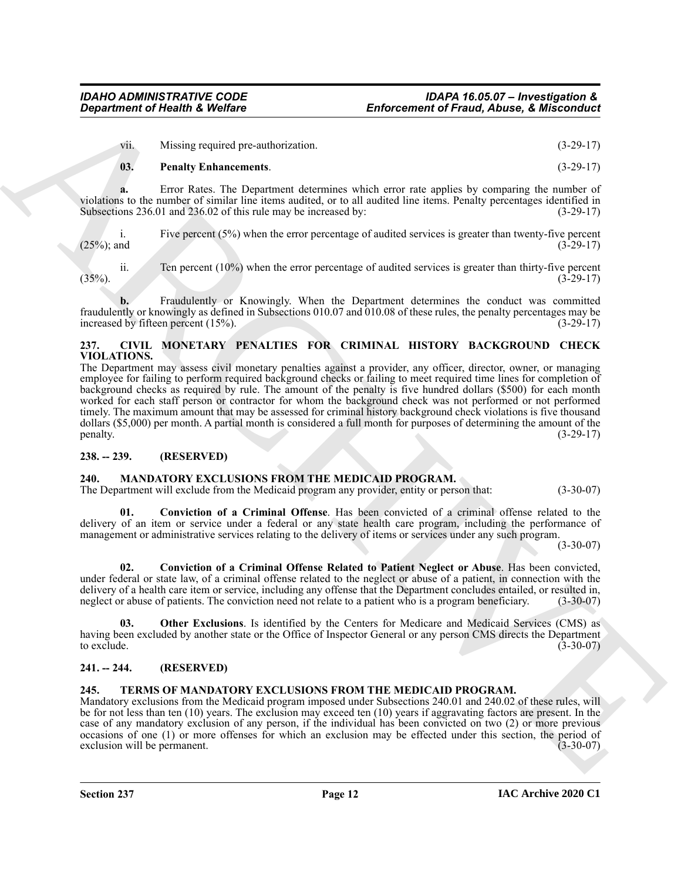vii. Missing required pre-authorization. (3-29-17)

#### <span id="page-11-6"></span>**03. Penalty Enhancements**. (3-29-17)

**a.** Error Rates. The Department determines which error rate applies by comparing the number of violations to the number of similar line items audited, or to all audited line items. Penalty percentages identified in Subsections 236.01 and 236.02 of this rule may be increased by: (3-29-17)

i. Five percent (5%) when the error percentage of audited services is greater than twenty-five percent (25%); and (3-29-17)  $(25\%)$ ; and  $(3-29-17)$ 

ii. Ten percent (10%) when the error percentage of audited services is greater than thirty-five percent  $(35\%)$ .  $(3-29-17)$ 

**b.** Fraudulently or Knowingly. When the Department determines the conduct was committed fraudulently or knowingly as defined in Subsections 010.07 and 010.08 of these rules, the penalty percentages may be increased by fifteen percent (15%). (3-29-17)

#### <span id="page-11-5"></span><span id="page-11-0"></span>**237. CIVIL MONETARY PENALTIES FOR CRIMINAL HISTORY BACKGROUND CHECK VIOLATIONS.**

**Enforcement of Friendrich Vieldings**<br> **Enforcement of Francis (Conservation**)<br>
(B. Pattein provided provided and the conservation of the conservation of the conservation of the conservation of the conservation of the con The Department may assess civil monetary penalties against a provider, any officer, director, owner, or managing employee for failing to perform required background checks or failing to meet required time lines for completion of background checks as required by rule. The amount of the penalty is five hundred dollars (\$500) for each month worked for each staff person or contractor for whom the background check was not performed or not performed timely. The maximum amount that may be assessed for criminal history background check violations is five thousand dollars (\$5,000) per month. A partial month is considered a full month for purposes of determining the amount of the penalty. (3-29-17)

### <span id="page-11-1"></span>**238. -- 239. (RESERVED)**

### <span id="page-11-7"></span><span id="page-11-2"></span>**240. MANDATORY EXCLUSIONS FROM THE MEDICAID PROGRAM.**

The Department will exclude from the Medicaid program any provider, entity or person that: (3-30-07)

<span id="page-11-8"></span>**01. Conviction of a Criminal Offense**. Has been convicted of a criminal offense related to the delivery of an item or service under a federal or any state health care program, including the performance of management or administrative services relating to the delivery of items or services under any such program.

 $(3-30-07)$ 

<span id="page-11-9"></span>**02. Conviction of a Criminal Offense Related to Patient Neglect or Abuse**. Has been convicted, under federal or state law, of a criminal offense related to the neglect or abuse of a patient, in connection with the delivery of a health care item or service, including any offense that the Department concludes entailed, or resulted in, neglect or abuse of patients. The conviction need not relate to a patient who is a program beneficiary. (3-30-07)

<span id="page-11-10"></span>**03. Other Exclusions**. Is identified by the Centers for Medicare and Medicaid Services (CMS) as having been excluded by another state or the Office of Inspector General or any person CMS directs the Department to exclude.  $(3-30-07)$ 

### <span id="page-11-3"></span>**241. -- 244. (RESERVED)**

### <span id="page-11-11"></span><span id="page-11-4"></span>**245. TERMS OF MANDATORY EXCLUSIONS FROM THE MEDICAID PROGRAM.**

Mandatory exclusions from the Medicaid program imposed under Subsections 240.01 and 240.02 of these rules, will be for not less than ten (10) years. The exclusion may exceed ten (10) years if aggravating factors are present. In the case of any mandatory exclusion of any person, if the individual has been convicted on two (2) or more previous occasions of one (1) or more offenses for which an exclusion may be effected under this section, the period of exclusion will be permanent. (3-30-07) exclusion will be permanent.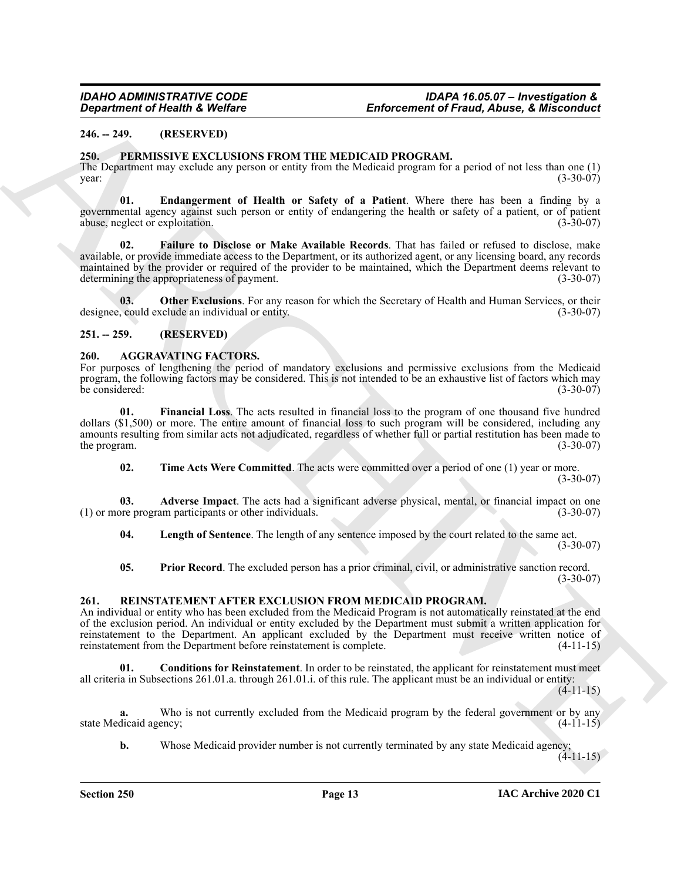### <span id="page-12-0"></span>**246. -- 249. (RESERVED)**

#### <span id="page-12-10"></span><span id="page-12-1"></span>**250. PERMISSIVE EXCLUSIONS FROM THE MEDICAID PROGRAM.**

The Department may exclude any person or entity from the Medicaid program for a period of not less than one (1) year: (3-30-07)  $\frac{1}{3}$  year: (3-30-07)

<span id="page-12-12"></span><span id="page-12-11"></span>**01. Endangerment of Health or Safety of a Patient**. Where there has been a finding by a governmental agency against such person or entity of endangering the health or safety of a patient, or of patient abuse, neglect or exploitation. (3-30-07)

**Enforcement of Freshold Construction**<br> **Enforcement of Freshold, Nikeland**<br>
246. 1983. IN this SUARCHIVE STATE INTERFECT INSTALLATION CONTROLLATION (1) the state of the state of the state of the state of the state of the **02. Failure to Disclose or Make Available Records**. That has failed or refused to disclose, make available, or provide immediate access to the Department, or its authorized agent, or any licensing board, any records maintained by the provider or required of the provider to be maintained, which the Department deems relevant to determining the appropriateness of payment. (3-30-07)

<span id="page-12-13"></span>**03.** Other Exclusions. For any reason for which the Secretary of Health and Human Services, or their could exclude an individual or entity. designee, could exclude an individual or entity.

#### <span id="page-12-2"></span>**251. -- 259. (RESERVED)**

#### <span id="page-12-5"></span><span id="page-12-3"></span>**260. AGGRAVATING FACTORS.**

For purposes of lengthening the period of mandatory exclusions and permissive exclusions from the Medicaid program, the following factors may be considered. This is not intended to be an exhaustive list of factors which may be considered: (3-30-07)

**01. Financial Loss**. The acts resulted in financial loss to the program of one thousand five hundred dollars (\$1,500) or more. The entire amount of financial loss to such program will be considered, including any amounts resulting from similar acts not adjudicated, regardless of whether full or partial restitution has been made to the program.  $(3-30-07)$ 

<span id="page-12-9"></span><span id="page-12-7"></span><span id="page-12-6"></span>**02.** Time Acts Were Committed. The acts were committed over a period of one (1) year or more. (3-30-07)

**03. Adverse Impact**. The acts had a significant adverse physical, mental, or financial impact on one ore program participants or other individuals. (3-30-07)  $(1)$  or more program participants or other individuals.

<span id="page-12-8"></span>**04. Length of Sentence**. The length of any sentence imposed by the court related to the same act. (3-30-07)

<span id="page-12-14"></span>**05. Prior Record**. The excluded person has a prior criminal, civil, or administrative sanction record.  $(3-30-07)$ 

#### <span id="page-12-4"></span>**261. REINSTATEMENT AFTER EXCLUSION FROM MEDICAID PROGRAM.**

An individual or entity who has been excluded from the Medicaid Program is not automatically reinstated at the end of the exclusion period. An individual or entity excluded by the Department must submit a written application for reinstatement to the Department. An applicant excluded by the Department must receive written notice of reinstatement from the Department before reinstatement is complete. (4-11-15)

<span id="page-12-15"></span>**01. Conditions for Reinstatement**. In order to be reinstated, the applicant for reinstatement must meet all criteria in Subsections 261.01.a. through 261.01.i. of this rule. The applicant must be an individual or entity:

 $(4-11-15)$ 

**a.** Who is not currently excluded from the Medicaid program by the federal government or by any state Medicaid agency; (4-11-15)

**b.** Whose Medicaid provider number is not currently terminated by any state Medicaid agency;

 $(4-11-15)$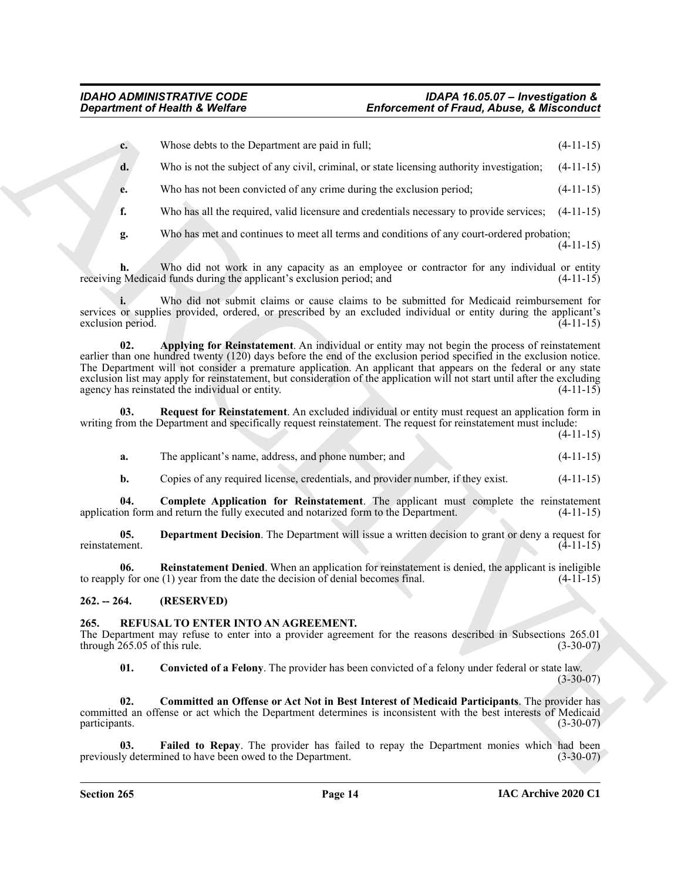| $\mathbf{c}$ . | Whose debts to the Department are paid in full; | $(4-11-15)$ |
|----------------|-------------------------------------------------|-------------|
|                |                                                 |             |

**d.** Who is not the subject of any civil, criminal, or state licensing authority investigation;  $(4-11-15)$ 

**e.** Who has not been convicted of any crime during the exclusion period; (4-11-15)

**f.** Who has all the required, valid licensure and credentials necessary to provide services;  $(4-11-15)$ 

**g.** Who has met and continues to meet all terms and conditions of any court-ordered probation;

(4-11-15)

**h.** Who did not work in any capacity as an employee or contractor for any individual or entity receiving Medicaid funds during the applicant's exclusion period; and (4-11-15)

<span id="page-13-6"></span>**i.** Who did not submit claims or cause claims to be submitted for Medicaid reimbursement for services or supplies provided, ordered, or prescribed by an excluded individual or entity during the applicant's exclusion period. (4-11-15)

**Enforcement of Friedrich Christian Enforcement of Friedrich Christian Enforcement of Friedrich Christian Enforcement of Friedrich Christian Enforcement of Christian Enforcement of Friedrich Christian Enforcement (4-11-15 02. Applying for Reinstatement**. An individual or entity may not begin the process of reinstatement earlier than one hundred twenty (120) days before the end of the exclusion period specified in the exclusion notice. The Department will not consider a premature application. An applicant that appears on the federal or any state exclusion list may apply for reinstatement, but consideration of the application will not start until after the excluding agency has reinstated the individual or entity. (4-11-15)

**03. Request for Reinstatement**. An excluded individual or entity must request an application form in writing from the Department and specifically request reinstatement. The request for reinstatement must include:

| 1 | I<br>١ |
|---|--------|
|   |        |

<span id="page-13-10"></span>

| a. | The applicant's name, address, and phone number; and |  |  |  |
|----|------------------------------------------------------|--|--|--|
|    |                                                      |  |  |  |

<span id="page-13-8"></span><span id="page-13-7"></span>**b.** Copies of any required license, credentials, and provider number, if they exist.  $(4-11-15)$ 

**04. Complete Application for Reinstatement**. The applicant must complete the reinstatement on form and return the fully executed and notarized form to the Department. (4-11-15) application form and return the fully executed and notarized form to the Department.

**05. Department Decision**. The Department will issue a written decision to grant or deny a request for reinstatement. (4-11-15)

<span id="page-13-9"></span>**06. Reinstatement Denied**. When an application for reinstatement is denied, the applicant is ineligible to reapply for one (1) year from the date the decision of denial becomes final.  $(4-11-15)$ 

<span id="page-13-0"></span>**262. -- 264. (RESERVED)**

### <span id="page-13-2"></span><span id="page-13-1"></span>**265. REFUSAL TO ENTER INTO AN AGREEMENT.**

The Department may refuse to enter into a provider agreement for the reasons described in Subsections 265.01 through 265.05 of this rule.  $(3-30-07)$ 

<span id="page-13-5"></span><span id="page-13-4"></span><span id="page-13-3"></span>**01. Convicted of a Felony**. The provider has been convicted of a felony under federal or state law. (3-30-07)

**02. Committed an Offense or Act Not in Best Interest of Medicaid Participants**. The provider has committed an offense or act which the Department determines is inconsistent with the best interests of Medicaid participants. (3-30-07)

Failed to Repay. The provider has failed to repay the Department monies which had been previously determined to have been owed to the Department. (3-30-07)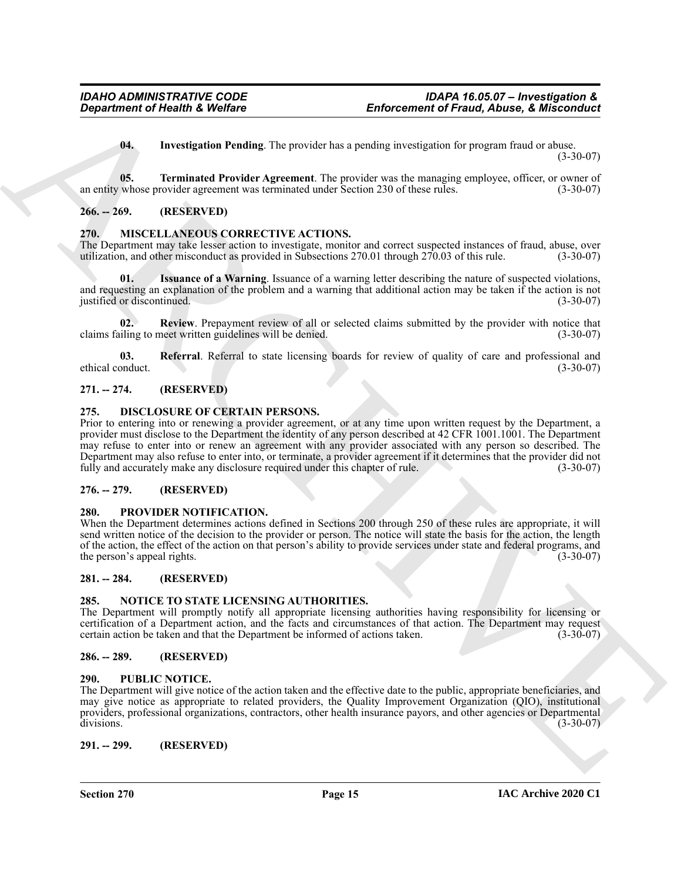<span id="page-14-20"></span><span id="page-14-19"></span>**04. Investigation Pending**. The provider has a pending investigation for program fraud or abuse.  $(3-30-07)$ 

**05. Terminated Provider Agreement**. The provider was the managing employee, officer, or owner of an entity whose provider agreement was terminated under Section 230 of these rules. (3-30-07)

#### <span id="page-14-0"></span>**266. -- 269. (RESERVED)**

### <span id="page-14-12"></span><span id="page-14-1"></span>**270. MISCELLANEOUS CORRECTIVE ACTIONS.**

The Department may take lesser action to investigate, monitor and correct suspected instances of fraud, abuse, over utilization, and other misconduct as provided in Subsections 270.01 through 270.03 of this rule. (3-30-07)

<span id="page-14-13"></span>**Issuance of a Warning.** Issuance of a warning letter describing the nature of suspected violations, and requesting an explanation of the problem and a warning that additional action may be taken if the action is not justified or discontinued. (3-30-07)

<span id="page-14-15"></span>**02. Review**. Prepayment review of all or selected claims submitted by the provider with notice that claims failing to meet written guidelines will be denied. (3-30-07)

<span id="page-14-14"></span>**03.** Referral. Referral to state licensing boards for review of quality of care and professional and onduct. (3-30-07) ethical conduct.

#### <span id="page-14-2"></span>**271. -- 274. (RESERVED)**

#### <span id="page-14-11"></span><span id="page-14-3"></span>**275. DISCLOSURE OF CERTAIN PERSONS.**

**Enforcement of Friendrich Profiles and Theorement of Francis Control of the set of the set of the set of the set of the set of the set of the set of the set of the set of the set of the set of the set of the set of the s** Prior to entering into or renewing a provider agreement, or at any time upon written request by the Department, a provider must disclose to the Department the identity of any person described at 42 CFR 1001.1001. The Department may refuse to enter into or renew an agreement with any provider associated with any person so described. The Department may also refuse to enter into, or terminate, a provider agreement if it determines that the provider did not fully and accurately make any disclosure required under this chapter of rule. (3-30-07)

### <span id="page-14-4"></span>**276. -- 279. (RESERVED)**

#### <span id="page-14-17"></span><span id="page-14-5"></span>**280. PROVIDER NOTIFICATION.**

When the Department determines actions defined in Sections 200 through 250 of these rules are appropriate, it will send written notice of the decision to the provider or person. The notice will state the basis for the action, the length of the action, the effect of the action on that person's ability to provide services under state and federal programs, and the person's appeal rights. (3-30-07) (3-30-07)

#### <span id="page-14-6"></span>**281. -- 284. (RESERVED)**

#### <span id="page-14-16"></span><span id="page-14-7"></span>**285. NOTICE TO STATE LICENSING AUTHORITIES.**

The Department will promptly notify all appropriate licensing authorities having responsibility for licensing or certification of a Department action, and the facts and circumstances of that action. The Department may request certain action be taken and that the Department be informed of actions taken.

#### <span id="page-14-8"></span>**286. -- 289. (RESERVED)**

#### <span id="page-14-18"></span><span id="page-14-9"></span>**290. PUBLIC NOTICE.**

The Department will give notice of the action taken and the effective date to the public, appropriate beneficiaries, and may give notice as appropriate to related providers, the Quality Improvement Organization (QIO), institutional providers, professional organizations, contractors, other health insurance payors, and other agencies or Departmental divisions. (3-30-07)

<span id="page-14-10"></span>**291. -- 299. (RESERVED)**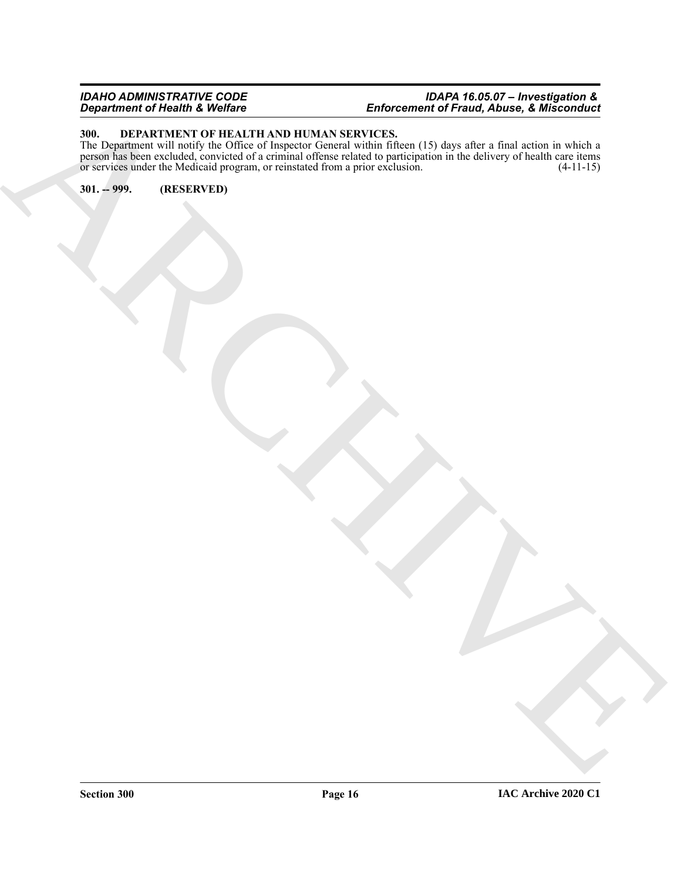#### *IDAHO ADMINISTRATIVE CODE IDAPA 16.05.07 – Investigation & Department of Health & Welfare Enforcement of Fraud, Abuse, & Misconduct*

#### <span id="page-15-2"></span><span id="page-15-0"></span>**300. DEPARTMENT OF HEALTH AND HUMAN SERVICES.**

ARCHIVE The Department will notify the Office of Inspector General within fifteen (15) days after a final action in which a person has been excluded, convicted of a criminal offense related to participation in the delivery of health care items or services under the Medicaid program, or reinstated from a prior exclusion. (4-11-15)

<span id="page-15-1"></span>**301. -- 999. (RESERVED)**